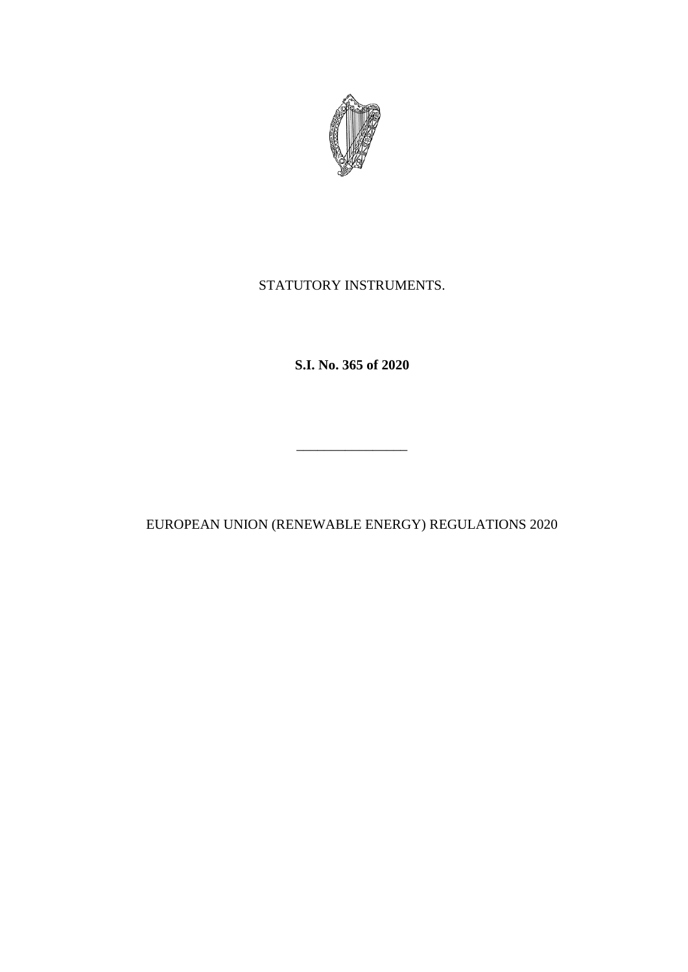

# STATUTORY INSTRUMENTS.

**S.I. No. 365 of 2020**

EUROPEAN UNION (RENEWABLE ENERGY) REGULATIONS 2020

\_\_\_\_\_\_\_\_\_\_\_\_\_\_\_\_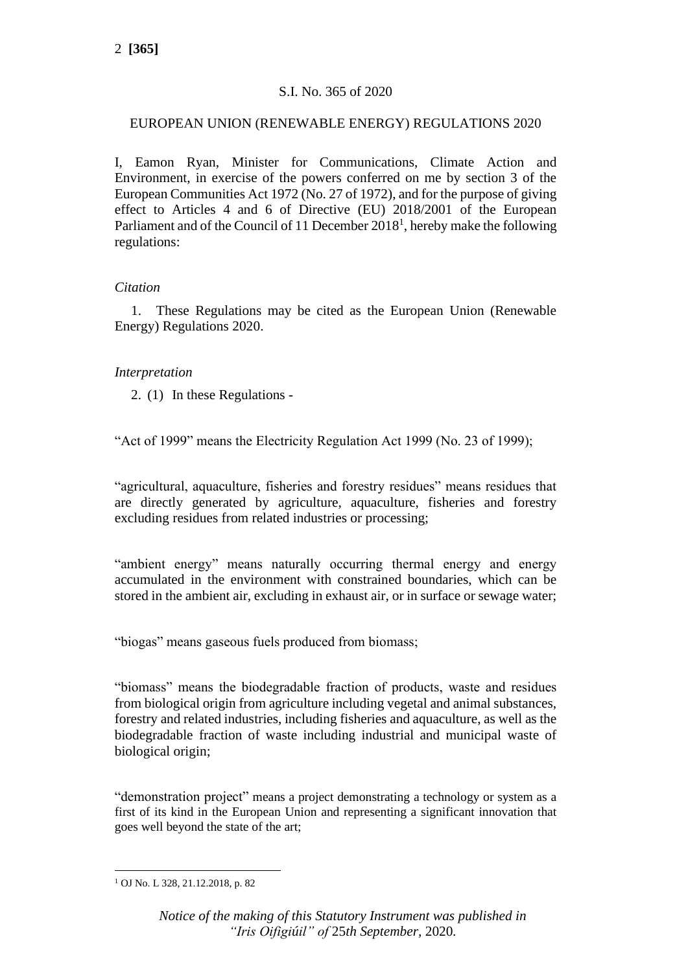# S.I. No. 365 of 2020

# EUROPEAN UNION (RENEWABLE ENERGY) REGULATIONS 2020

I, Eamon Ryan, Minister for Communications, Climate Action and Environment, in exercise of the powers conferred on me by section 3 of the European Communities Act 1972 (No. 27 of 1972), and for the purpose of giving effect to Articles 4 and 6 of Directive (EU) 2018/2001 of the European Parliament and of the Council of 11 December  $2018<sup>1</sup>$ , hereby make the following regulations:

# *Citation*

1. These Regulations may be cited as the European Union (Renewable Energy) Regulations 2020.

# *Interpretation*

2. (1) In these Regulations -

"Act of 1999" means the Electricity Regulation Act 1999 (No. 23 of 1999);

"agricultural, aquaculture, fisheries and forestry residues" means residues that are directly generated by agriculture, aquaculture, fisheries and forestry excluding residues from related industries or processing;

"ambient energy" means naturally occurring thermal energy and energy accumulated in the environment with constrained boundaries, which can be stored in the ambient air, excluding in exhaust air, or in surface or sewage water;

"biogas" means gaseous fuels produced from biomass;

"biomass" means the biodegradable fraction of products, waste and residues from biological origin from agriculture including vegetal and animal substances, forestry and related industries, including fisheries and aquaculture, as well as the biodegradable fraction of waste including industrial and municipal waste of biological origin;

"demonstration project" means a project demonstrating a technology or system as a first of its kind in the European Union and representing a significant innovation that goes well beyond the state of the art;

<sup>1</sup> OJ No. L 328, 21.12.2018, p. 82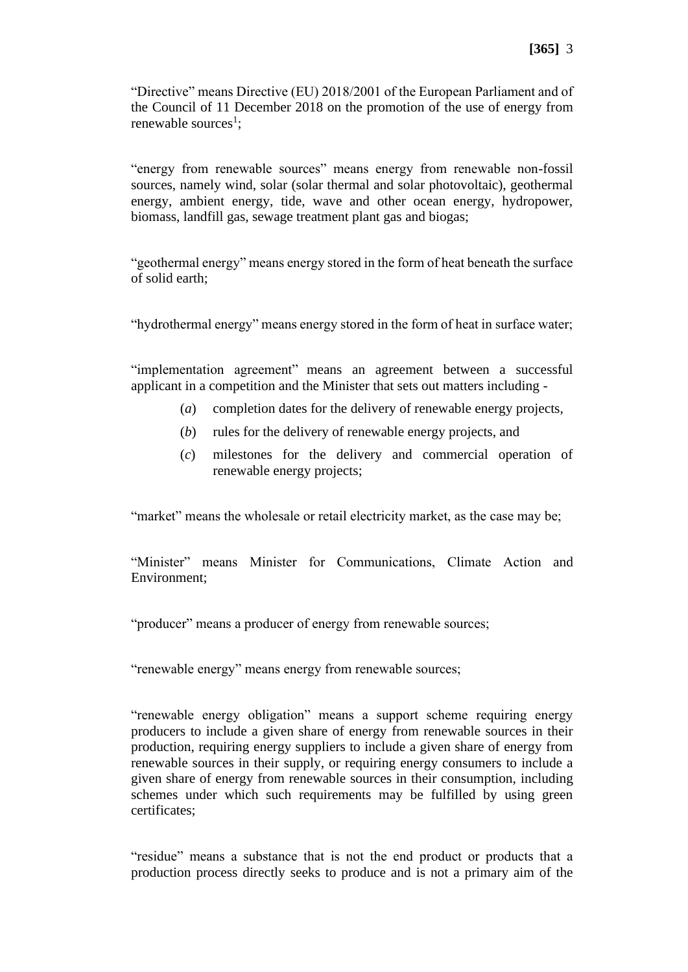"Directive" means Directive (EU) 2018/2001 of the European Parliament and of the Council of 11 December 2018 on the promotion of the use of energy from renewable sources<sup>1</sup>;

"energy from renewable sources" means energy from renewable non-fossil sources, namely wind, solar (solar thermal and solar photovoltaic), geothermal energy, ambient energy, tide, wave and other ocean energy, hydropower, biomass, landfill gas, sewage treatment plant gas and biogas;

"geothermal energy" means energy stored in the form of heat beneath the surface of solid earth;

"hydrothermal energy" means energy stored in the form of heat in surface water;

"implementation agreement" means an agreement between a successful applicant in a competition and the Minister that sets out matters including -

- (*a*) completion dates for the delivery of renewable energy projects,
- (*b*) rules for the delivery of renewable energy projects, and
- (*c*) milestones for the delivery and commercial operation of renewable energy projects;

"market" means the wholesale or retail electricity market, as the case may be;

"Minister" means Minister for Communications, Climate Action and Environment;

"producer" means a producer of energy from renewable sources;

"renewable energy" means energy from renewable sources;

"renewable energy obligation" means a support scheme requiring energy producers to include a given share of energy from renewable sources in their production, requiring energy suppliers to include a given share of energy from renewable sources in their supply, or requiring energy consumers to include a given share of energy from renewable sources in their consumption, including schemes under which such requirements may be fulfilled by using green certificates;

"residue" means a substance that is not the end product or products that a production process directly seeks to produce and is not a primary aim of the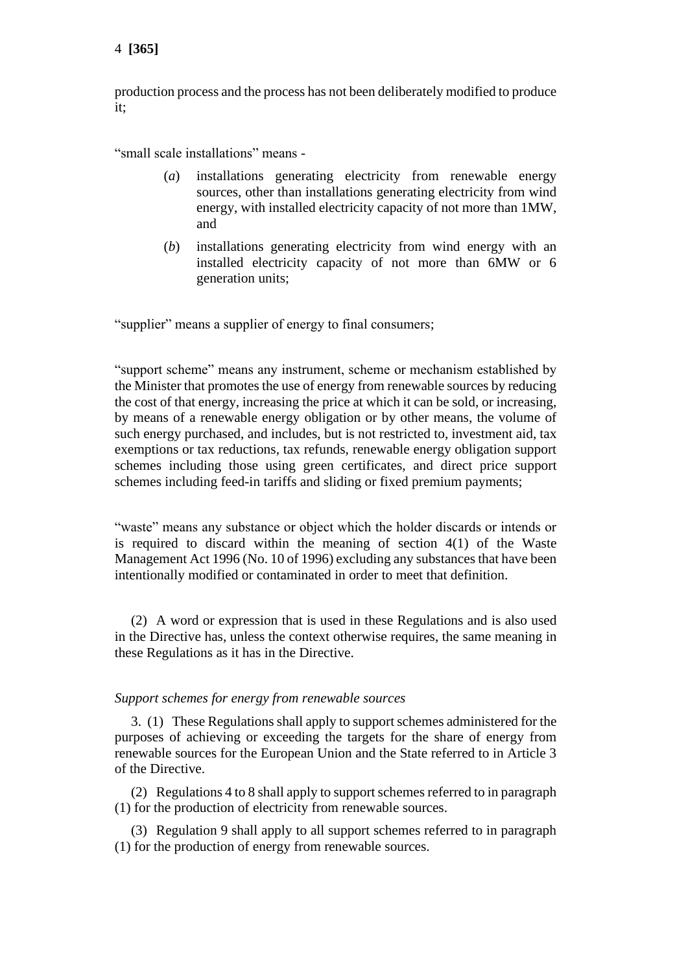production process and the process has not been deliberately modified to produce it;

"small scale installations" means -

- (*a*) installations generating electricity from renewable energy sources, other than installations generating electricity from wind energy, with installed electricity capacity of not more than 1MW, and
- (*b*) installations generating electricity from wind energy with an installed electricity capacity of not more than 6MW or 6 generation units;

"supplier" means a supplier of energy to final consumers;

"support scheme" means any instrument, scheme or mechanism established by the Minister that promotes the use of energy from renewable sources by reducing the cost of that energy, increasing the price at which it can be sold, or increasing, by means of a renewable energy obligation or by other means, the volume of such energy purchased, and includes, but is not restricted to, investment aid, tax exemptions or tax reductions, tax refunds, renewable energy obligation support schemes including those using green certificates, and direct price support schemes including feed-in tariffs and sliding or fixed premium payments;

"waste" means any substance or object which the holder discards or intends or is required to discard within the meaning of section 4(1) of the Waste Management Act 1996 (No. 10 of 1996) excluding any substances that have been intentionally modified or contaminated in order to meet that definition.

(2) A word or expression that is used in these Regulations and is also used in the Directive has, unless the context otherwise requires, the same meaning in these Regulations as it has in the Directive.

#### *Support schemes for energy from renewable sources*

3. (1) These Regulations shall apply to support schemes administered for the purposes of achieving or exceeding the targets for the share of energy from renewable sources for the European Union and the State referred to in Article 3 of the Directive.

(2) Regulations 4 to 8 shall apply to support schemes referred to in paragraph (1) for the production of electricity from renewable sources.

(3) Regulation 9 shall apply to all support schemes referred to in paragraph (1) for the production of energy from renewable sources.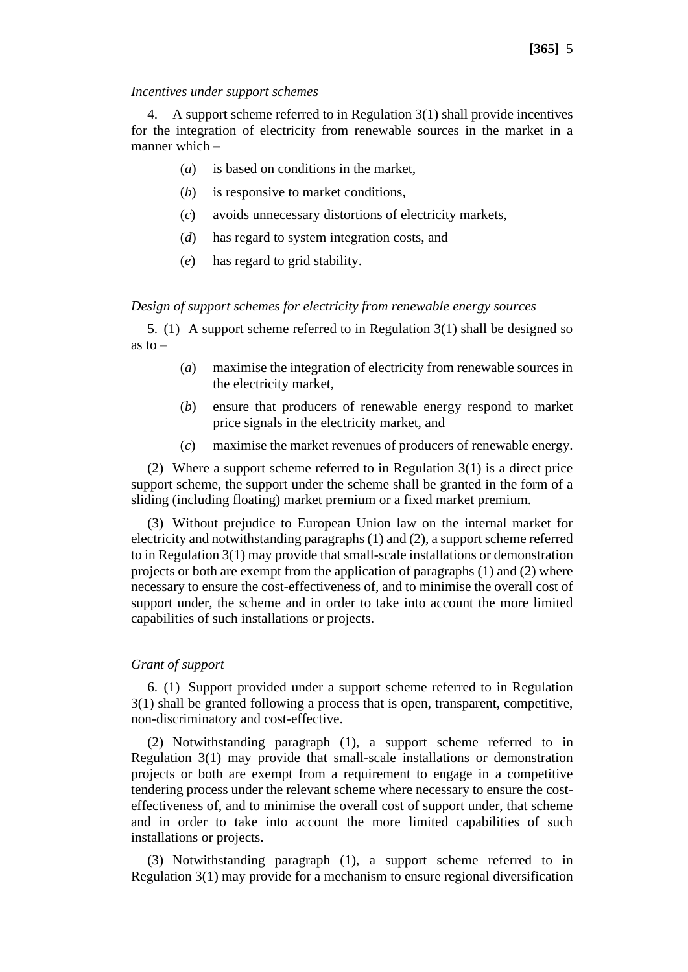#### *Incentives under support schemes*

4. A support scheme referred to in Regulation 3(1) shall provide incentives for the integration of electricity from renewable sources in the market in a manner which –

- (*a*) is based on conditions in the market,
- (*b*) is responsive to market conditions,
- (*c*) avoids unnecessary distortions of electricity markets,
- (*d*) has regard to system integration costs, and
- (*e*) has regard to grid stability.

#### *Design of support schemes for electricity from renewable energy sources*

5. (1) A support scheme referred to in Regulation 3(1) shall be designed so as to  $-$ 

- (*a*) maximise the integration of electricity from renewable sources in the electricity market,
- (*b*) ensure that producers of renewable energy respond to market price signals in the electricity market, and
- (*c*) maximise the market revenues of producers of renewable energy.

(2) Where a support scheme referred to in Regulation 3(1) is a direct price support scheme, the support under the scheme shall be granted in the form of a sliding (including floating) market premium or a fixed market premium.

(3) Without prejudice to European Union law on the internal market for electricity and notwithstanding paragraphs (1) and (2), a support scheme referred to in Regulation 3(1) may provide that small-scale installations or demonstration projects or both are exempt from the application of paragraphs (1) and (2) where necessary to ensure the cost-effectiveness of, and to minimise the overall cost of support under, the scheme and in order to take into account the more limited capabilities of such installations or projects.

## *Grant of support*

6. (1) Support provided under a support scheme referred to in Regulation 3(1) shall be granted following a process that is open, transparent, competitive, non-discriminatory and cost-effective.

(2) Notwithstanding paragraph (1), a support scheme referred to in Regulation 3(1) may provide that small-scale installations or demonstration projects or both are exempt from a requirement to engage in a competitive tendering process under the relevant scheme where necessary to ensure the costeffectiveness of, and to minimise the overall cost of support under, that scheme and in order to take into account the more limited capabilities of such installations or projects.

(3) Notwithstanding paragraph (1), a support scheme referred to in Regulation 3(1) may provide for a mechanism to ensure regional diversification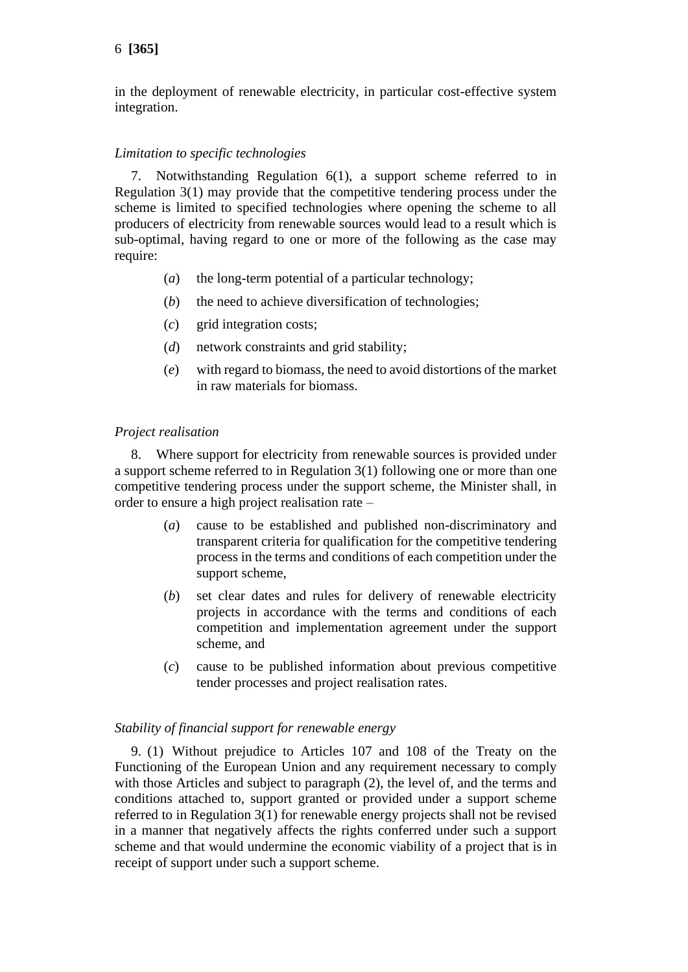in the deployment of renewable electricity, in particular cost-effective system integration.

# *Limitation to specific technologies*

7. Notwithstanding Regulation 6(1), a support scheme referred to in Regulation 3(1) may provide that the competitive tendering process under the scheme is limited to specified technologies where opening the scheme to all producers of electricity from renewable sources would lead to a result which is sub-optimal, having regard to one or more of the following as the case may require:

- (*a*) the long-term potential of a particular technology;
- (*b*) the need to achieve diversification of technologies;
- (*c*) grid integration costs;
- (*d*) network constraints and grid stability;
- (*e*) with regard to biomass, the need to avoid distortions of the market in raw materials for biomass.

# *Project realisation*

8. Where support for electricity from renewable sources is provided under a support scheme referred to in Regulation 3(1) following one or more than one competitive tendering process under the support scheme, the Minister shall, in order to ensure a high project realisation rate –

- (*a*) cause to be established and published non-discriminatory and transparent criteria for qualification for the competitive tendering process in the terms and conditions of each competition under the support scheme,
- (*b*) set clear dates and rules for delivery of renewable electricity projects in accordance with the terms and conditions of each competition and implementation agreement under the support scheme, and
- (*c*) cause to be published information about previous competitive tender processes and project realisation rates.

## *Stability of financial support for renewable energy*

9. (1) Without prejudice to Articles 107 and 108 of the Treaty on the Functioning of the European Union and any requirement necessary to comply with those Articles and subject to paragraph (2), the level of, and the terms and conditions attached to, support granted or provided under a support scheme referred to in Regulation 3(1) for renewable energy projects shall not be revised in a manner that negatively affects the rights conferred under such a support scheme and that would undermine the economic viability of a project that is in receipt of support under such a support scheme.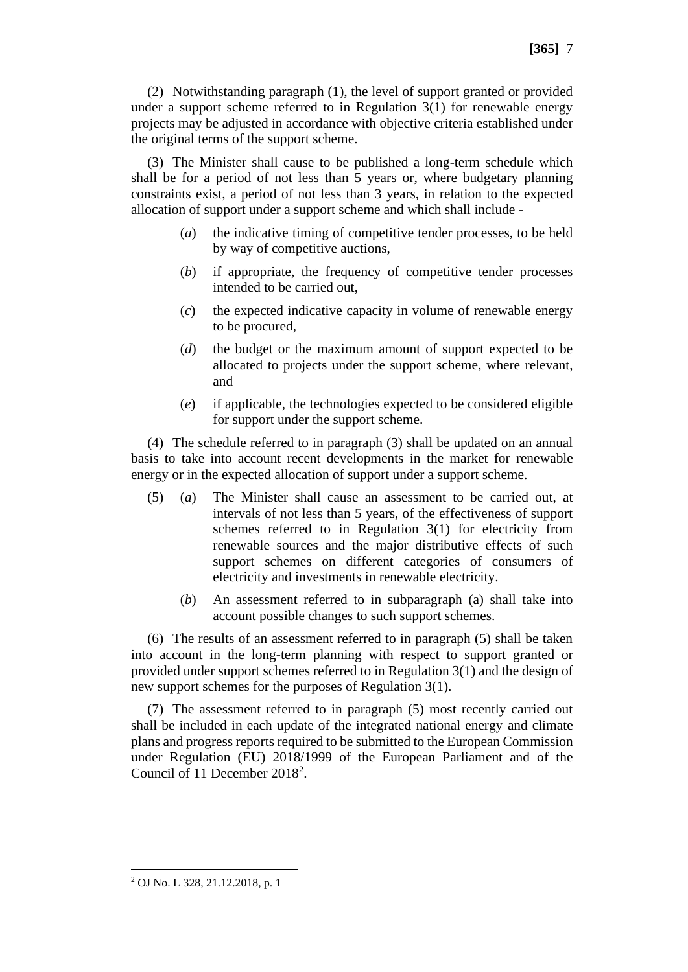(3) The Minister shall cause to be published a long-term schedule which shall be for a period of not less than 5 years or, where budgetary planning constraints exist, a period of not less than 3 years, in relation to the expected allocation of support under a support scheme and which shall include -

the original terms of the support scheme.

- (*a*) the indicative timing of competitive tender processes, to be held by way of competitive auctions,
- (*b*) if appropriate, the frequency of competitive tender processes intended to be carried out,
- (*c*) the expected indicative capacity in volume of renewable energy to be procured,
- (*d*) the budget or the maximum amount of support expected to be allocated to projects under the support scheme, where relevant, and
- (*e*) if applicable, the technologies expected to be considered eligible for support under the support scheme.

(4) The schedule referred to in paragraph (3) shall be updated on an annual basis to take into account recent developments in the market for renewable energy or in the expected allocation of support under a support scheme.

- (5) (*a*) The Minister shall cause an assessment to be carried out, at intervals of not less than 5 years, of the effectiveness of support schemes referred to in Regulation 3(1) for electricity from renewable sources and the major distributive effects of such support schemes on different categories of consumers of electricity and investments in renewable electricity.
	- (*b*) An assessment referred to in subparagraph (a) shall take into account possible changes to such support schemes.

(6) The results of an assessment referred to in paragraph (5) shall be taken into account in the long-term planning with respect to support granted or provided under support schemes referred to in Regulation 3(1) and the design of new support schemes for the purposes of Regulation 3(1).

(7) The assessment referred to in paragraph (5) most recently carried out shall be included in each update of the integrated national energy and climate plans and progress reports required to be submitted to the European Commission under Regulation (EU) 2018/1999 of the European Parliament and of the Council of 11 December 2018<sup>2</sup>.

<sup>2</sup> OJ No. L 328, 21.12.2018, p. 1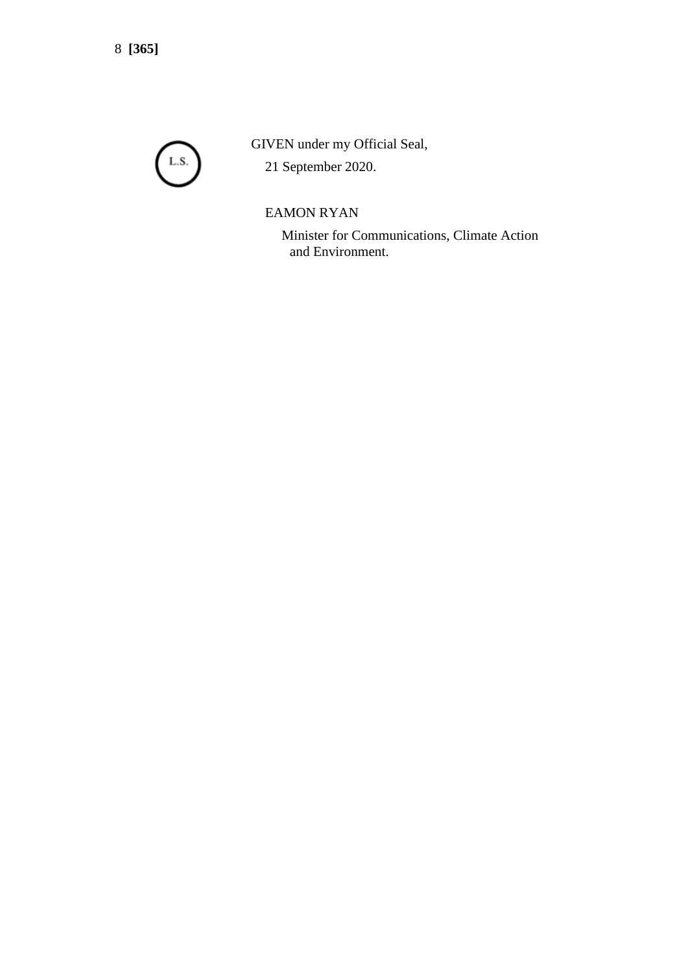

GIVEN under my Official Seal,

21 September 2020.

# EAMON RYAN

Minister for Communications, Climate Action and Environment.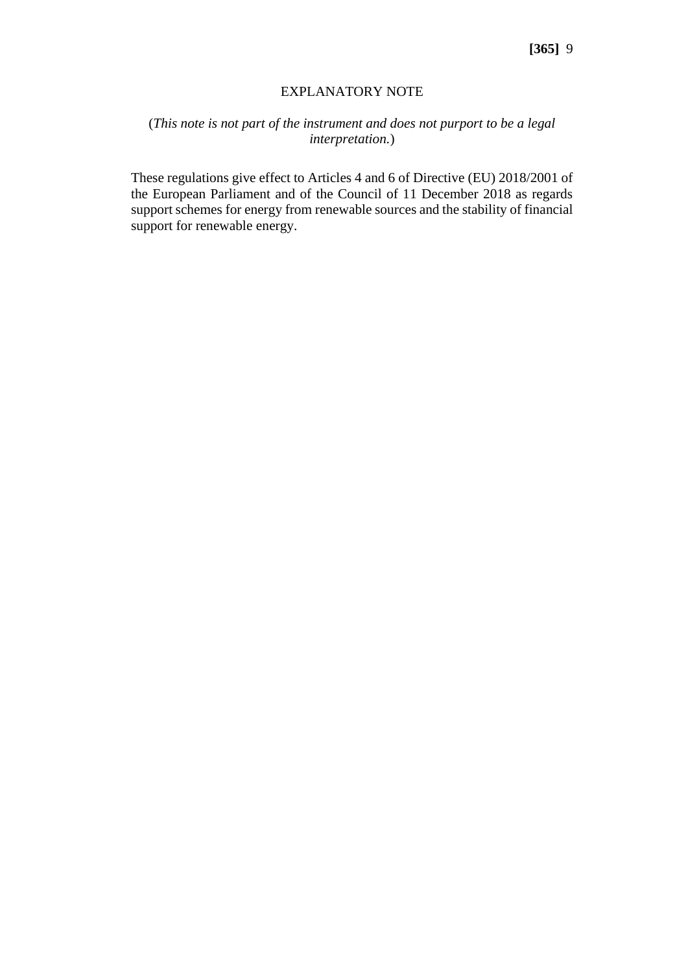## EXPLANATORY NOTE

# (*This note is not part of the instrument and does not purport to be a legal interpretation.*)

These regulations give effect to Articles 4 and 6 of Directive (EU) 2018/2001 of the European Parliament and of the Council of 11 December 2018 as regards support schemes for energy from renewable sources and the stability of financial support for renewable energy.